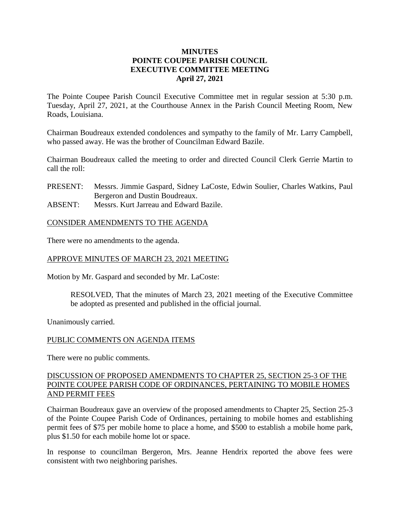## **MINUTES POINTE COUPEE PARISH COUNCIL EXECUTIVE COMMITTEE MEETING April 27, 2021**

The Pointe Coupee Parish Council Executive Committee met in regular session at 5:30 p.m. Tuesday, April 27, 2021, at the Courthouse Annex in the Parish Council Meeting Room, New Roads, Louisiana.

Chairman Boudreaux extended condolences and sympathy to the family of Mr. Larry Campbell, who passed away. He was the brother of Councilman Edward Bazile.

Chairman Boudreaux called the meeting to order and directed Council Clerk Gerrie Martin to call the roll:

- PRESENT: Messrs. Jimmie Gaspard, Sidney LaCoste, Edwin Soulier, Charles Watkins, Paul Bergeron and Dustin Boudreaux.
- ABSENT: Messrs. Kurt Jarreau and Edward Bazile.

### CONSIDER AMENDMENTS TO THE AGENDA

There were no amendments to the agenda.

# APPROVE MINUTES OF MARCH 23, 2021 MEETING

Motion by Mr. Gaspard and seconded by Mr. LaCoste:

RESOLVED, That the minutes of March 23, 2021 meeting of the Executive Committee be adopted as presented and published in the official journal.

Unanimously carried.

### PUBLIC COMMENTS ON AGENDA ITEMS

There were no public comments.

### DISCUSSION OF PROPOSED AMENDMENTS TO CHAPTER 25, SECTION 25-3 OF THE POINTE COUPEE PARISH CODE OF ORDINANCES, PERTAINING TO MOBILE HOMES AND PERMIT FEES

Chairman Boudreaux gave an overview of the proposed amendments to Chapter 25, Section 25-3 of the Pointe Coupee Parish Code of Ordinances, pertaining to mobile homes and establishing permit fees of \$75 per mobile home to place a home, and \$500 to establish a mobile home park, plus \$1.50 for each mobile home lot or space.

In response to councilman Bergeron, Mrs. Jeanne Hendrix reported the above fees were consistent with two neighboring parishes.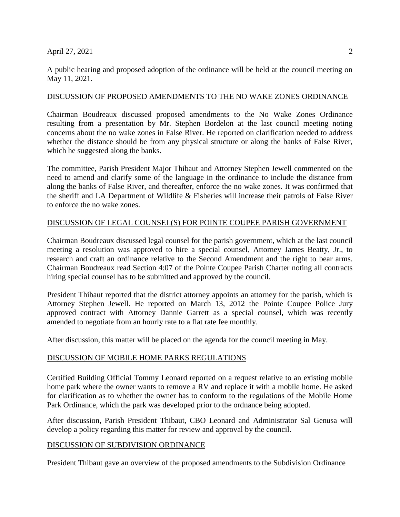#### April 27, 2021 2022

A public hearing and proposed adoption of the ordinance will be held at the council meeting on May 11, 2021.

### DISCUSSION OF PROPOSED AMENDMENTS TO THE NO WAKE ZONES ORDINANCE

Chairman Boudreaux discussed proposed amendments to the No Wake Zones Ordinance resulting from a presentation by Mr. Stephen Bordelon at the last council meeting noting concerns about the no wake zones in False River. He reported on clarification needed to address whether the distance should be from any physical structure or along the banks of False River, which he suggested along the banks.

The committee, Parish President Major Thibaut and Attorney Stephen Jewell commented on the need to amend and clarify some of the language in the ordinance to include the distance from along the banks of False River, and thereafter, enforce the no wake zones. It was confirmed that the sheriff and LA Department of Wildlife & Fisheries will increase their patrols of False River to enforce the no wake zones.

## DISCUSSION OF LEGAL COUNSEL(S) FOR POINTE COUPEE PARISH GOVERNMENT

Chairman Boudreaux discussed legal counsel for the parish government, which at the last council meeting a resolution was approved to hire a special counsel, Attorney James Beatty, Jr., to research and craft an ordinance relative to the Second Amendment and the right to bear arms. Chairman Boudreaux read Section 4:07 of the Pointe Coupee Parish Charter noting all contracts hiring special counsel has to be submitted and approved by the council.

President Thibaut reported that the district attorney appoints an attorney for the parish, which is Attorney Stephen Jewell. He reported on March 13, 2012 the Pointe Coupee Police Jury approved contract with Attorney Dannie Garrett as a special counsel, which was recently amended to negotiate from an hourly rate to a flat rate fee monthly.

After discussion, this matter will be placed on the agenda for the council meeting in May.

### DISCUSSION OF MOBILE HOME PARKS REGULATIONS

Certified Building Official Tommy Leonard reported on a request relative to an existing mobile home park where the owner wants to remove a RV and replace it with a mobile home. He asked for clarification as to whether the owner has to conform to the regulations of the Mobile Home Park Ordinance, which the park was developed prior to the ordnance being adopted.

After discussion, Parish President Thibaut, CBO Leonard and Administrator Sal Genusa will develop a policy regarding this matter for review and approval by the council.

### DISCUSSION OF SUBDIVISION ORDINANCE

President Thibaut gave an overview of the proposed amendments to the Subdivision Ordinance